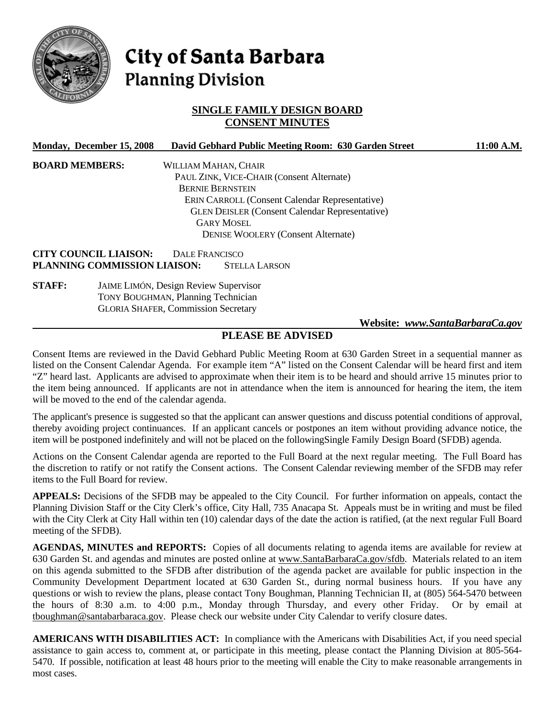

# City of Santa Barbara **Planning Division**

## **SINGLE FAMILY DESIGN BOARD CONSENT MINUTES**

| Monday, December 15, 2008           | David Gebhard Public Meeting Room: 630 Garden Street  | 11:00 A.M. |
|-------------------------------------|-------------------------------------------------------|------------|
| <b>BOARD MEMBERS:</b>               | WILLIAM MAHAN, CHAIR                                  |            |
|                                     | PAUL ZINK, VICE-CHAIR (Consent Alternate)             |            |
|                                     | <b>BERNIE BERNSTEIN</b>                               |            |
|                                     | <b>ERIN CARROLL (Consent Calendar Representative)</b> |            |
|                                     | <b>GLEN DEISLER (Consent Calendar Representative)</b> |            |
|                                     | <b>GARY MOSEL</b>                                     |            |
|                                     | <b>DENISE WOOLERY (Consent Alternate)</b>             |            |
| <b>CITY COUNCIL LIAISON:</b>        | DALE FRANCISCO                                        |            |
| <b>PLANNING COMMISSION LIAISON:</b> | <b>STELLA LARSON</b>                                  |            |

**STAFF:** JAIME LIMÓN, Design Review Supervisor TONY BOUGHMAN, Planning Technician GLORIA SHAFER, Commission Secretary

#### **Website:** *www.SantaBarbaraCa.gov*

## **PLEASE BE ADVISED**

Consent Items are reviewed in the David Gebhard Public Meeting Room at 630 Garden Street in a sequential manner as listed on the Consent Calendar Agenda. For example item "A" listed on the Consent Calendar will be heard first and item "Z" heard last. Applicants are advised to approximate when their item is to be heard and should arrive 15 minutes prior to the item being announced. If applicants are not in attendance when the item is announced for hearing the item, the item will be moved to the end of the calendar agenda.

The applicant's presence is suggested so that the applicant can answer questions and discuss potential conditions of approval, thereby avoiding project continuances. If an applicant cancels or postpones an item without providing advance notice, the item will be postponed indefinitely and will not be placed on the followingSingle Family Design Board (SFDB) agenda.

Actions on the Consent Calendar agenda are reported to the Full Board at the next regular meeting. The Full Board has the discretion to ratify or not ratify the Consent actions. The Consent Calendar reviewing member of the SFDB may refer items to the Full Board for review.

**APPEALS:** Decisions of the SFDB may be appealed to the City Council. For further information on appeals, contact the Planning Division Staff or the City Clerk's office, City Hall, 735 Anacapa St. Appeals must be in writing and must be filed with the City Clerk at City Hall within ten (10) calendar days of the date the action is ratified, (at the next regular Full Board meeting of the SFDB).

**AGENDAS, MINUTES and REPORTS:** Copies of all documents relating to agenda items are available for review at 630 Garden St. and agendas and minutes are posted online at www.SantaBarbaraCa.gov/sfdb. Materials related to an item on this agenda submitted to the SFDB after distribution of the agenda packet are available for public inspection in the Community Development Department located at 630 Garden St., during normal business hours. If you have any questions or wish to review the plans, please contact Tony Boughman, Planning Technician II, at (805) 564-5470 between the hours of 8:30 a.m. to 4:00 p.m., Monday through Thursday, and every other Friday. Or by email at tboughman@santabarbaraca.gov. Please check our website under City Calendar to verify closure dates.

**AMERICANS WITH DISABILITIES ACT:** In compliance with the Americans with Disabilities Act, if you need special assistance to gain access to, comment at, or participate in this meeting, please contact the Planning Division at 805-564- 5470. If possible, notification at least 48 hours prior to the meeting will enable the City to make reasonable arrangements in most cases.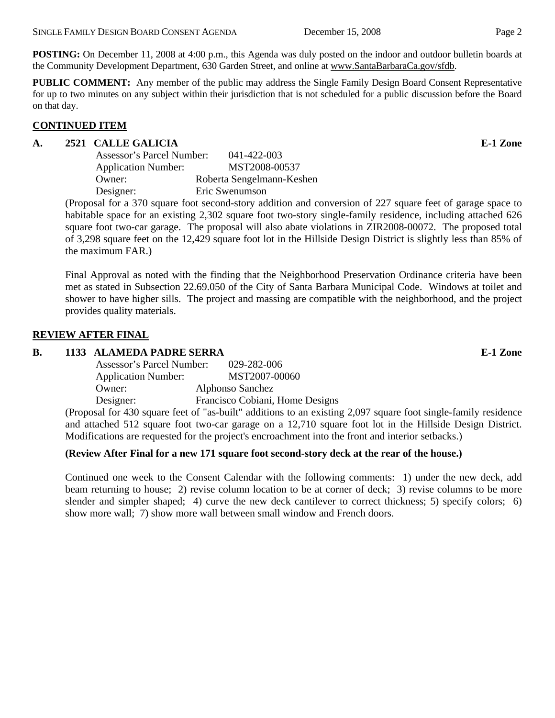**POSTING:** On December 11, 2008 at 4:00 p.m., this Agenda was duly posted on the indoor and outdoor bulletin boards at the Community Development Department, 630 Garden Street, and online at www.SantaBarbaraCa.gov/sfdb.

**PUBLIC COMMENT:** Any member of the public may address the Single Family Design Board Consent Representative for up to two minutes on any subject within their jurisdiction that is not scheduled for a public discussion before the Board on that day.

## **CONTINUED ITEM**

## **A. 2521 CALLE GALICIA E-1 Zone**

| Assessor's Parcel Number:  | 041-422-003               |
|----------------------------|---------------------------|
| <b>Application Number:</b> | MST2008-00537             |
| Owner:                     | Roberta Sengelmann-Keshen |
| Designer:                  | Eric Swenumson            |

(Proposal for a 370 square foot second-story addition and conversion of 227 square feet of garage space to habitable space for an existing 2,302 square foot two-story single-family residence, including attached 626 square foot two-car garage. The proposal will also abate violations in ZIR2008-00072. The proposed total of 3,298 square feet on the 12,429 square foot lot in the Hillside Design District is slightly less than 85% of the maximum FAR.)

Final Approval as noted with the finding that the Neighborhood Preservation Ordinance criteria have been met as stated in Subsection 22.69.050 of the City of Santa Barbara Municipal Code. Windows at toilet and shower to have higher sills. The project and massing are compatible with the neighborhood, and the project provides quality materials.

## **REVIEW AFTER FINAL**

## **B.** 1133 ALAMEDA PADRE SERRA E-1 Zone

| Assessor's Parcel Number:  | 029-282-006                     |
|----------------------------|---------------------------------|
| <b>Application Number:</b> | MST2007-00060                   |
| Owner:                     | Alphonso Sanchez                |
| Designer:                  | Francisco Cobiani, Home Designs |
|                            |                                 |

(Proposal for 430 square feet of "as-built" additions to an existing 2,097 square foot single-family residence and attached 512 square foot two-car garage on a 12,710 square foot lot in the Hillside Design District. Modifications are requested for the project's encroachment into the front and interior setbacks.)

## **(Review After Final for a new 171 square foot second-story deck at the rear of the house.)**

Continued one week to the Consent Calendar with the following comments: 1) under the new deck, add beam returning to house; 2) revise column location to be at corner of deck; 3) revise columns to be more slender and simpler shaped; 4) curve the new deck cantilever to correct thickness; 5) specify colors; 6) show more wall; 7) show more wall between small window and French doors.